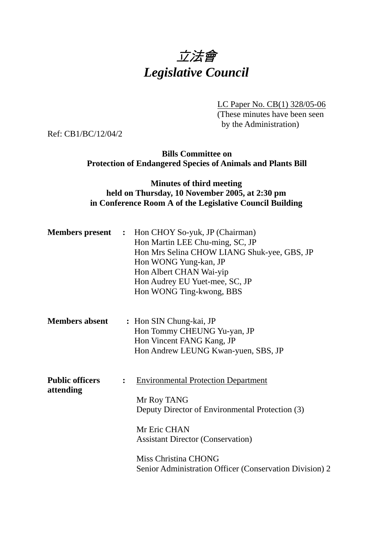

LC Paper No. CB(1) 328/05-06

(These minutes have been seen by the Administration)

Ref: CB1/BC/12/04/2

**Bills Committee on Protection of Endangered Species of Animals and Plants Bill** 

## **Minutes of third meeting held on Thursday, 10 November 2005, at 2:30 pm in Conference Room A of the Legislative Council Building**

|                                     |                | <b>Members present</b> : Hon CHOY So-yuk, JP (Chairman)<br>Hon Martin LEE Chu-ming, SC, JP<br>Hon Mrs Selina CHOW LIANG Shuk-yee, GBS, JP<br>Hon WONG Yung-kan, JP<br>Hon Albert CHAN Wai-yip<br>Hon Audrey EU Yuet-mee, SC, JP<br>Hon WONG Ting-kwong, BBS |
|-------------------------------------|----------------|-------------------------------------------------------------------------------------------------------------------------------------------------------------------------------------------------------------------------------------------------------------|
| <b>Members absent</b>               |                | : Hon SIN Chung-kai, JP<br>Hon Tommy CHEUNG Yu-yan, JP<br>Hon Vincent FANG Kang, JP<br>Hon Andrew LEUNG Kwan-yuen, SBS, JP                                                                                                                                  |
| <b>Public officers</b><br>attending | $\ddot{\cdot}$ | <b>Environmental Protection Department</b><br>Mr Roy TANG<br>Deputy Director of Environmental Protection (3)<br>Mr Eric CHAN<br><b>Assistant Director (Conservation)</b><br>Miss Christina CHONG<br>Senior Administration Officer (Conservation Division) 2 |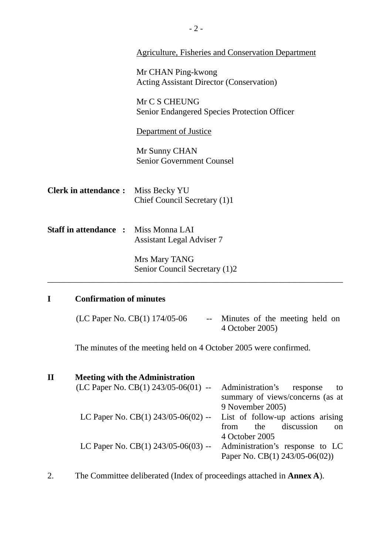|                                             | <b>Agriculture, Fisheries and Conservation Department</b>             |  |  |
|---------------------------------------------|-----------------------------------------------------------------------|--|--|
|                                             | Mr CHAN Ping-kwong<br><b>Acting Assistant Director (Conservation)</b> |  |  |
|                                             | Mr C S CHEUNG<br><b>Senior Endangered Species Protection Officer</b>  |  |  |
|                                             | Department of Justice                                                 |  |  |
|                                             | Mr Sunny CHAN<br><b>Senior Government Counsel</b>                     |  |  |
| <b>Clerk in attendance:</b>                 | Miss Becky YU<br>Chief Council Secretary (1)1                         |  |  |
| <b>Staff in attendance : Miss Monna LAI</b> | <b>Assistant Legal Adviser 7</b>                                      |  |  |
|                                             | Mrs Mary TANG<br>Senior Council Secretary (1)2                        |  |  |
| <b>Confirmation of minutes</b><br>I         |                                                                       |  |  |

| (LC Paper No. CB(1) 174/05-06 | Minutes of the meeting held on |
|-------------------------------|--------------------------------|
|                               | 4 October 2005)                |

The minutes of the meeting held on 4 October 2005 were confirmed.

| $\mathbf H$ | <b>Meeting with the Administration</b> |                                       |
|-------------|----------------------------------------|---------------------------------------|
|             | (LC Paper No. CB(1) $243/05-06(01)$ -- | Administration's<br>response<br>to.   |
|             |                                        | summary of views/concerns (as at      |
|             |                                        | 9 November 2005)                      |
|             | LC Paper No. $CB(1)$ 243/05-06(02) --  | List of follow-up actions arising     |
|             |                                        | discussion<br>the<br>from<br>$\Omega$ |
|             |                                        | 4 October 2005                        |
|             | LC Paper No. $CB(1)$ 243/05-06(03) --  | Administration's response to LC       |
|             |                                        | Paper No. CB(1) 243/05-06(02))        |
|             |                                        |                                       |

2. The Committee deliberated (Index of proceedings attached in **Annex A**).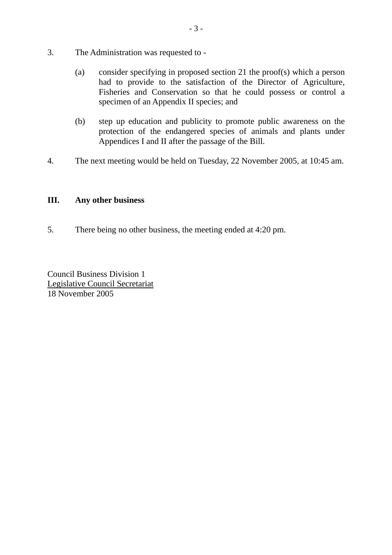- 3. The Administration was requested to
	- (a) consider specifying in proposed section 21 the proof(s) which a person had to provide to the satisfaction of the Director of Agriculture, Fisheries and Conservation so that he could possess or control a specimen of an Appendix II species; and
	- (b) step up education and publicity to promote public awareness on the protection of the endangered species of animals and plants under Appendices I and II after the passage of the Bill.
- 4. The next meeting would be held on Tuesday, 22 November 2005, at 10:45 am.

## **III. Any other business**

5. There being no other business, the meeting ended at 4:20 pm.

Council Business Division 1 Legislative Council Secretariat 18 November 2005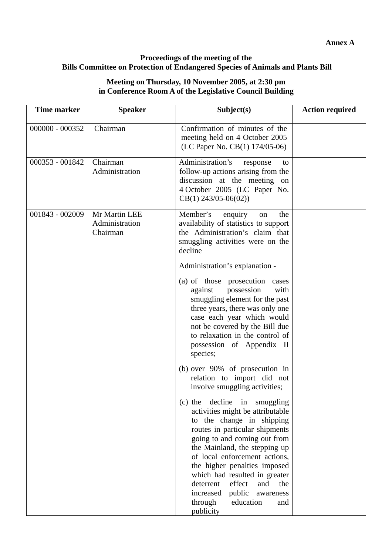## **Proceedings of the meeting of the Bills Committee on Protection of Endangered Species of Animals and Plants Bill**

## **Meeting on Thursday, 10 November 2005, at 2:30 pm in Conference Room A of the Legislative Council Building**

| <b>Time marker</b> | <b>Speaker</b>                              | Subject(s)                                                                                                                                                                                                                                                                                                                                                                                                                      | <b>Action required</b> |
|--------------------|---------------------------------------------|---------------------------------------------------------------------------------------------------------------------------------------------------------------------------------------------------------------------------------------------------------------------------------------------------------------------------------------------------------------------------------------------------------------------------------|------------------------|
| 000000 - 000352    | Chairman                                    | Confirmation of minutes of the<br>meeting held on 4 October 2005<br>(LC Paper No. CB(1) 174/05-06)                                                                                                                                                                                                                                                                                                                              |                        |
| 000353 - 001842    | Chairman<br>Administration                  | Administration's<br>response<br>to<br>follow-up actions arising from the<br>discussion at the meeting on<br>4 October 2005 (LC Paper No.<br>$CB(1)$ 243/05-06(02))                                                                                                                                                                                                                                                              |                        |
| 001843 - 002009    | Mr Martin LEE<br>Administration<br>Chairman | Member's<br>enquiry<br>the<br>on<br>availability of statistics to support<br>the Administration's claim that<br>smuggling activities were on the<br>decline                                                                                                                                                                                                                                                                     |                        |
|                    |                                             | Administration's explanation -                                                                                                                                                                                                                                                                                                                                                                                                  |                        |
|                    |                                             | (a) of those prosecution<br>cases<br>against<br>possession<br>with<br>smuggling element for the past<br>three years, there was only one<br>case each year which would<br>not be covered by the Bill due<br>to relaxation in the control of<br>possession of Appendix II<br>species;                                                                                                                                             |                        |
|                    |                                             | (b) over 90% of prosecution in<br>relation to import did not<br>involve smuggling activities;                                                                                                                                                                                                                                                                                                                                   |                        |
|                    |                                             | decline<br>in smuggling<br>$(c)$ the<br>activities might be attributable<br>to the change in shipping<br>routes in particular shipments<br>going to and coming out from<br>the Mainland, the stepping up<br>of local enforcement actions,<br>the higher penalties imposed<br>which had resulted in greater<br>effect<br>deterrent<br>and<br>the<br>increased<br>public<br>awareness<br>education<br>through<br>and<br>publicity |                        |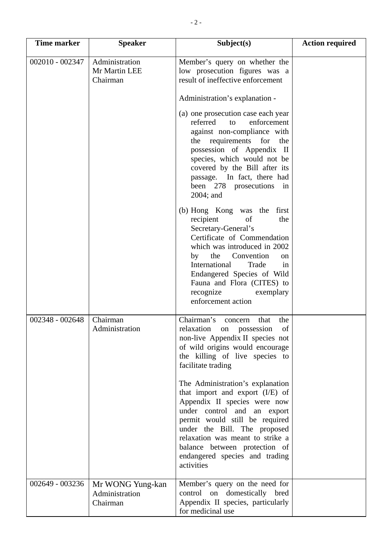| Time marker     | <b>Speaker</b>                                 | Subject(s)                                                                                                                                                                                                                                                                                                                       | <b>Action required</b> |
|-----------------|------------------------------------------------|----------------------------------------------------------------------------------------------------------------------------------------------------------------------------------------------------------------------------------------------------------------------------------------------------------------------------------|------------------------|
| 002010 - 002347 | Administration<br>Mr Martin LEE<br>Chairman    | Member's query on whether the<br>low prosecution figures was a<br>result of ineffective enforcement                                                                                                                                                                                                                              |                        |
|                 |                                                | Administration's explanation -                                                                                                                                                                                                                                                                                                   |                        |
|                 |                                                | (a) one prosecution case each year<br>referred<br>enforcement<br>to<br>against non-compliance with<br>requirements for<br>the<br>the<br>possession of Appendix II<br>species, which would not be<br>covered by the Bill after its<br>passage. In fact, there had<br>been 278 prosecutions<br>in<br>2004; and                     |                        |
|                 |                                                | (b) Hong Kong was the first<br>recipient<br>the<br>of<br>Secretary-General's<br>Certificate of Commendation<br>which was introduced in 2002<br>the Convention<br>by<br><sub>on</sub><br>International<br>Trade<br>in<br>Endangered Species of Wild<br>Fauna and Flora (CITES) to<br>recognize<br>exemplary<br>enforcement action |                        |
| 002348 - 002648 | Chairman<br>Administration                     | Chairman's<br>the<br>that<br>concern<br>relaxation<br>of<br>possession<br>on<br>non-live Appendix II species not<br>of wild origins would encourage<br>the killing of live species to<br>facilitate trading                                                                                                                      |                        |
|                 |                                                | The Administration's explanation<br>that import and export (I/E) of<br>Appendix II species were now<br>under control and an export<br>permit would still be required<br>under the Bill. The proposed<br>relaxation was meant to strike a<br>balance between protection of<br>endangered species and trading<br>activities        |                        |
| 002649 - 003236 | Mr WONG Yung-kan<br>Administration<br>Chairman | Member's query on the need for<br>control on domestically bred<br>Appendix II species, particularly                                                                                                                                                                                                                              |                        |
|                 |                                                | for medicinal use                                                                                                                                                                                                                                                                                                                |                        |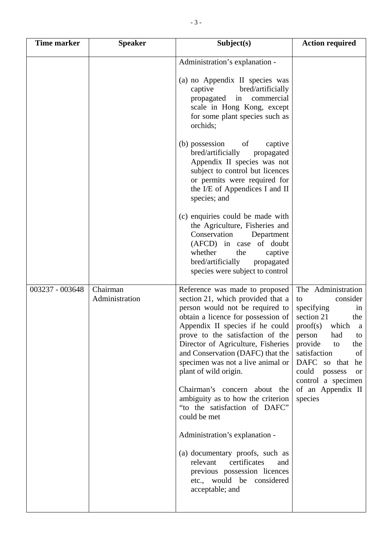| <b>Time marker</b> | <b>Speaker</b>             | Subject(s)                                                                                                                                                                                                                                                                                                                                                                                                                                                                                                          | <b>Action required</b>                                                                                                                                                                                                                                                                               |
|--------------------|----------------------------|---------------------------------------------------------------------------------------------------------------------------------------------------------------------------------------------------------------------------------------------------------------------------------------------------------------------------------------------------------------------------------------------------------------------------------------------------------------------------------------------------------------------|------------------------------------------------------------------------------------------------------------------------------------------------------------------------------------------------------------------------------------------------------------------------------------------------------|
|                    |                            | Administration's explanation -<br>(a) no Appendix II species was<br>bred/artificially<br>captive<br>commercial<br>propagated<br>in<br>scale in Hong Kong, except<br>for some plant species such as<br>orchids;                                                                                                                                                                                                                                                                                                      |                                                                                                                                                                                                                                                                                                      |
|                    |                            | of<br>(b) possession<br>captive<br>bred/artificially<br>propagated<br>Appendix II species was not<br>subject to control but licences<br>or permits were required for<br>the I/E of Appendices I and II<br>species; and                                                                                                                                                                                                                                                                                              |                                                                                                                                                                                                                                                                                                      |
|                    |                            | (c) enquiries could be made with<br>the Agriculture, Fisheries and<br>Conservation<br>Department<br>(AFCD) in case of doubt<br>whether<br>the<br>captive<br>bred/artificially<br>propagated<br>species were subject to control                                                                                                                                                                                                                                                                                      |                                                                                                                                                                                                                                                                                                      |
| 003237 - 003648    | Chairman<br>Administration | Reference was made to proposed<br>section 21, which provided that a<br>person would not be required to<br>obtain a licence for possession of<br>Appendix II species if he could<br>prove to the satisfaction of the<br>Director of Agriculture, Fisheries<br>and Conservation (DAFC) that the<br>specimen was not a live animal or<br>plant of wild origin.<br>Chairman's concern about the<br>ambiguity as to how the criterion<br>"to the satisfaction of DAFC"<br>could be met<br>Administration's explanation - | The Administration<br>consider<br>to<br>specifying<br>in<br>section 21<br>the<br>which<br>proof(s)<br><sub>a</sub><br>person<br>had<br>to<br>provide<br>the<br>to<br>satisfaction<br>of<br>DAFC so that<br>he<br>could<br>possess<br><b>or</b><br>control a specimen<br>of an Appendix II<br>species |
|                    |                            | (a) documentary proofs, such as<br>certificates<br>relevant<br>and<br>previous possession licences<br>etc., would be considered<br>acceptable; and                                                                                                                                                                                                                                                                                                                                                                  |                                                                                                                                                                                                                                                                                                      |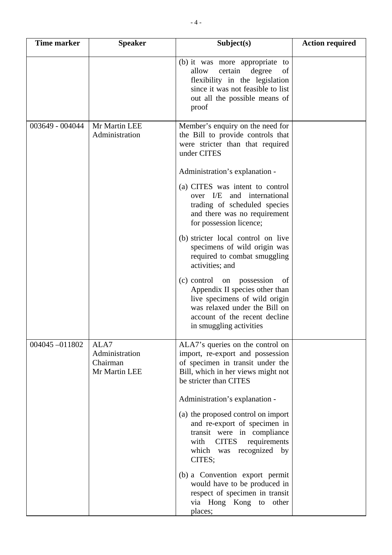| <b>Time marker</b> | <b>Speaker</b>                                      | Subject(s)                                                                                                                                                                                           | <b>Action required</b> |
|--------------------|-----------------------------------------------------|------------------------------------------------------------------------------------------------------------------------------------------------------------------------------------------------------|------------------------|
|                    |                                                     | (b) it was more appropriate to<br>allow<br>certain<br>degree<br>of<br>flexibility in the legislation<br>since it was not feasible to list<br>out all the possible means of<br>proof                  |                        |
| 003649 - 004044    | Mr Martin LEE<br>Administration                     | Member's enquiry on the need for<br>the Bill to provide controls that<br>were stricter than that required<br>under CITES                                                                             |                        |
|                    |                                                     | Administration's explanation -                                                                                                                                                                       |                        |
|                    |                                                     | (a) CITES was intent to control<br>over I/E and international<br>trading of scheduled species<br>and there was no requirement<br>for possession licence;                                             |                        |
|                    |                                                     | (b) stricter local control on live<br>specimens of wild origin was<br>required to combat smuggling<br>activities; and                                                                                |                        |
|                    |                                                     | $(c)$ control on<br>possession<br>of<br>Appendix II species other than<br>live specimens of wild origin<br>was relaxed under the Bill on<br>account of the recent decline<br>in smuggling activities |                        |
| 004045-011802      | ALA7<br>Administration<br>Chairman<br>Mr Martin LEE | ALA7's queries on the control on<br>import, re-export and possession<br>of specimen in transit under the<br>Bill, which in her views might not<br>be stricter than CITES                             |                        |
|                    |                                                     | Administration's explanation -                                                                                                                                                                       |                        |
|                    |                                                     | (a) the proposed control on import<br>and re-export of specimen in<br>transit were in compliance<br><b>CITES</b><br>requirements<br>with<br>which was recognized<br>by<br>CITES;                     |                        |
|                    |                                                     | (b) a Convention export permit<br>would have to be produced in<br>respect of specimen in transit<br>via Hong Kong to other<br>places;                                                                |                        |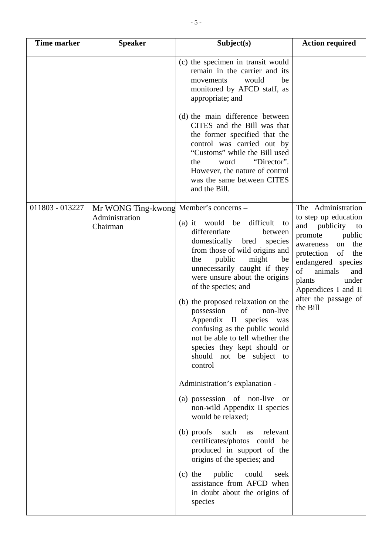| Time marker     | <b>Speaker</b>                                                       | Subject(s)                                                                                                                                                                                                                                                                                                                                                                                                                                                                                          | <b>Action required</b>                                                                                                                                                                                                                                                  |
|-----------------|----------------------------------------------------------------------|-----------------------------------------------------------------------------------------------------------------------------------------------------------------------------------------------------------------------------------------------------------------------------------------------------------------------------------------------------------------------------------------------------------------------------------------------------------------------------------------------------|-------------------------------------------------------------------------------------------------------------------------------------------------------------------------------------------------------------------------------------------------------------------------|
|                 |                                                                      | (c) the specimen in transit would<br>remain in the carrier and its<br>would<br>be<br>movements<br>monitored by AFCD staff, as<br>appropriate; and                                                                                                                                                                                                                                                                                                                                                   |                                                                                                                                                                                                                                                                         |
|                 |                                                                      | (d) the main difference between<br>CITES and the Bill was that<br>the former specified that the<br>control was carried out by<br>"Customs" while the Bill used<br>"Director".<br>the<br>word<br>However, the nature of control<br>was the same between CITES<br>and the Bill.                                                                                                                                                                                                                       |                                                                                                                                                                                                                                                                         |
| 011803 - 013227 | Mr WONG Ting-kwong Member's concerns -<br>Administration<br>Chairman | (a) it would be difficult<br>to<br>differentiate<br>between<br>domestically bred<br>species<br>from those of wild origins and<br>public<br>the<br>might<br>be<br>unnecessarily caught if they<br>were unsure about the origins<br>of the species; and<br>(b) the proposed relaxation on the<br>of<br>possession<br>non-live<br>Appendix II species<br>was<br>confusing as the public would<br>not be able to tell whether the<br>species they kept should or<br>should not be subject to<br>control | The Administration<br>to step up education<br>and publicity<br>to<br>promote<br>public<br>the<br>on<br>awareness<br>of<br>the<br>protection<br>endangered species<br>of<br>animals<br>and<br>under<br>plants<br>Appendices I and II<br>after the passage of<br>the Bill |
|                 |                                                                      | Administration's explanation -<br>(a) possession of non-live<br><sub>or</sub><br>non-wild Appendix II species<br>would be relaxed;                                                                                                                                                                                                                                                                                                                                                                  |                                                                                                                                                                                                                                                                         |
|                 |                                                                      | (b) proofs<br>such<br>relevant<br>as<br>certificates/photos could be<br>produced in support of the<br>origins of the species; and                                                                                                                                                                                                                                                                                                                                                                   |                                                                                                                                                                                                                                                                         |
|                 |                                                                      | $(c)$ the<br>public<br>could<br>seek<br>assistance from AFCD when<br>in doubt about the origins of<br>species                                                                                                                                                                                                                                                                                                                                                                                       |                                                                                                                                                                                                                                                                         |